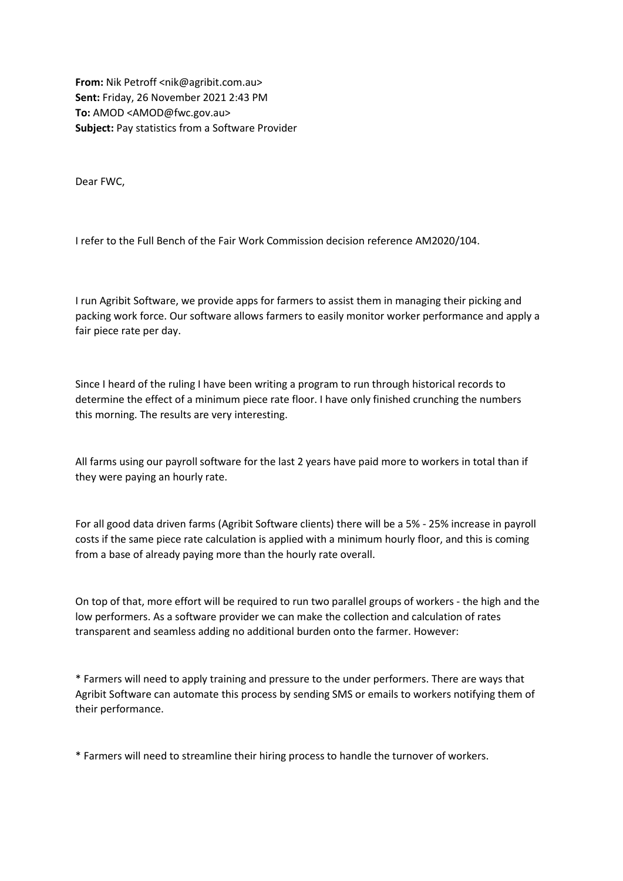**From:** Nik Petroff <nik@agribit.com.au> **Sent:** Friday, 26 November 2021 2:43 PM **To:** AMOD <AMOD@fwc.gov.au> **Subject:** Pay statistics from a Software Provider

Dear FWC,

I refer to the Full Bench of the Fair Work Commission decision reference AM2020/104.

I run Agribit Software, we provide apps for farmers to assist them in managing their picking and packing work force. Our software allows farmers to easily monitor worker performance and apply a fair piece rate per day.

Since I heard of the ruling I have been writing a program to run through historical records to determine the effect of a minimum piece rate floor. I have only finished crunching the numbers this morning. The results are very interesting.

All farms using our payroll software for the last 2 years have paid more to workers in total than if they were paying an hourly rate.

For all good data driven farms (Agribit Software clients) there will be a 5% - 25% increase in payroll costs if the same piece rate calculation is applied with a minimum hourly floor, and this is coming from a base of already paying more than the hourly rate overall.

On top of that, more effort will be required to run two parallel groups of workers - the high and the low performers. As a software provider we can make the collection and calculation of rates transparent and seamless adding no additional burden onto the farmer. However:

\* Farmers will need to apply training and pressure to the under performers. There are ways that Agribit Software can automate this process by sending SMS or emails to workers notifying them of their performance.

\* Farmers will need to streamline their hiring process to handle the turnover of workers.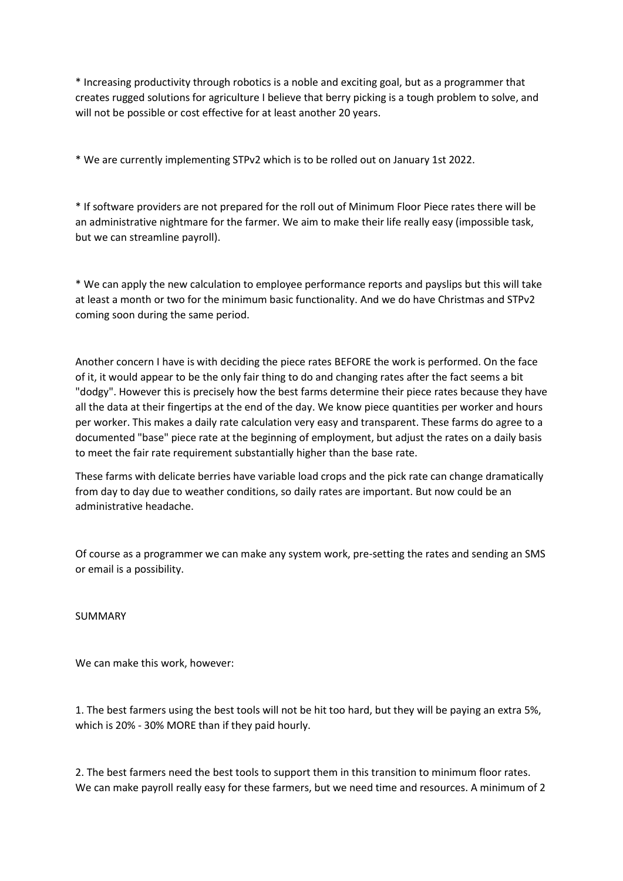\* Increasing productivity through robotics is a noble and exciting goal, but as a programmer that creates rugged solutions for agriculture I believe that berry picking is a tough problem to solve, and will not be possible or cost effective for at least another 20 years.

\* We are currently implementing STPv2 which is to be rolled out on January 1st 2022.

\* If software providers are not prepared for the roll out of Minimum Floor Piece rates there will be an administrative nightmare for the farmer. We aim to make their life really easy (impossible task, but we can streamline payroll).

\* We can apply the new calculation to employee performance reports and payslips but this will take at least a month or two for the minimum basic functionality. And we do have Christmas and STPv2 coming soon during the same period.

Another concern I have is with deciding the piece rates BEFORE the work is performed. On the face of it, it would appear to be the only fair thing to do and changing rates after the fact seems a bit "dodgy". However this is precisely how the best farms determine their piece rates because they have all the data at their fingertips at the end of the day. We know piece quantities per worker and hours per worker. This makes a daily rate calculation very easy and transparent. These farms do agree to a documented "base" piece rate at the beginning of employment, but adjust the rates on a daily basis to meet the fair rate requirement substantially higher than the base rate.

These farms with delicate berries have variable load crops and the pick rate can change dramatically from day to day due to weather conditions, so daily rates are important. But now could be an administrative headache.

Of course as a programmer we can make any system work, pre-setting the rates and sending an SMS or email is a possibility.

SUMMARY

We can make this work, however:

1. The best farmers using the best tools will not be hit too hard, but they will be paying an extra 5%, which is 20% - 30% MORE than if they paid hourly.

2. The best farmers need the best tools to support them in this transition to minimum floor rates. We can make payroll really easy for these farmers, but we need time and resources. A minimum of 2